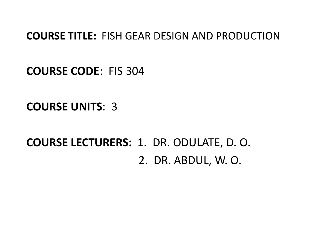#### **COURSE TITLE:** FISH GEAR DESIGN AND PRODUCTION

**COURSE CODE**: FIS 304

**COURSE UNITS**: 3

**COURSE LECTURERS:** 1. DR. ODULATE, D. O.2. DR. ABDUL, W. O.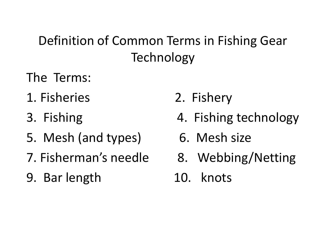## Definition of Common Terms in Fishing Gear Technology

- The Terms:
- 1. Fisheries 2. Fishery
- 3. Fishing
- 5. Mesh (and types) 6. Mesh size
- 7. Fisherman's needle 8. Webbing/Netting
- 9. Bar length
- 
- 4. Fishing technology
- 
- 

10. knots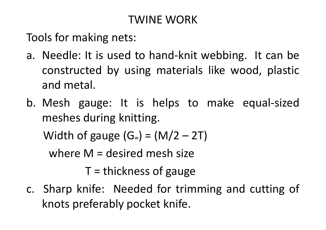### TWINE WORK

Tools for making nets:

- a. Needle: It is used to hand-knit webbing. It can be constructed by using materials like wood, plastic and metal.
- b. Mesh gauge: It is helps to make equal-sized meshes during knitting.

Width of gauge  $(G_w) = (M/2 - 2T)$ 

where <sup>M</sup> <sup>=</sup> desired mesh size

<sup>T</sup> <sup>=</sup> thickness of gauge

c. Sharp knife: Needed for trimming and cutting of knots preferably pocket knife.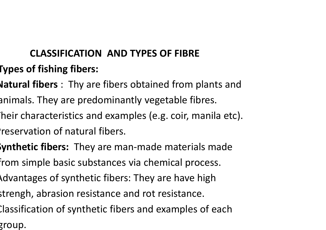# **CLASSIFICATION AND TYPES OF FIBRE**

- **Types of fishing fibers:**
- **Natural fibers** : Thy are fibers obtained from plants and
- animals. They are predominantly vegetable fibres.
- heir characteristics and examples (e.g. coir, manila etc).
- reservation of natural fibers.
- **Synthetic fibers:** They are man-made materials made
- from simple basic substances via chemical process.
- Advantages of synthetic fibers: They are have high
- strengh, abrasion resistance and rot resistance.
- Classification of synthetic fibers and examples of each
- group.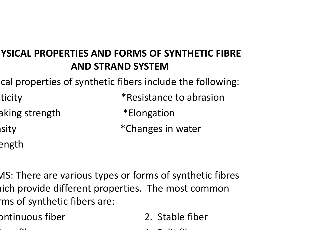### **PHYSICAL PROPERTIES AND FORMS OF SYNTHETIC FIBRE AND STRAND SYSTEM**

cal properties of synthetic fibers include the following:

| ticity                 | *Resistance to abrasion |
|------------------------|-------------------------|
| <b>a</b> king strength | *Elongation             |
| Isity                  | *Changes in water       |
| <b>e</b> ngth          |                         |

MS: There are various types or forms of synthetic fibres nich provide different properties. The most common ms of synthetic fibers are:

| bntinuous fiber | 2. Stable fiber |
|-----------------|-----------------|
|                 |                 |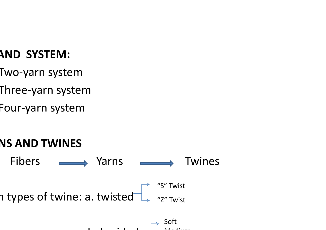### **AND SYSTEM:**

- Two-yarn system
- Three-yarn system
- Four-yarn system

# **YARNS AND TWINES**



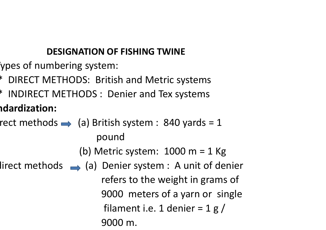#### **DESIGNATION OF FISHING TWINE**

- ypes of numbering system:
- \* DIRECT METHODS: British and Metric systems
- \* INDIRECT METHODS : Denier and Tex systems

### **Standardization:**

- rect methods  $\rightarrow$  (a) British system : 840 yards = 1 pound
	- (b) Metric system:  $1000 \text{ m} = 1 \text{ Kg}$
- $lirect$  methods  $\longrightarrow$  (a) Denier system : A unit of denier refers to the weight in grams of 9000 meters of a yarn or single filament i.e. 1 denier =  $1 g /$ 9000 m.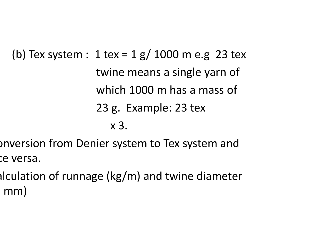(b) Tex system :  $1 \text{ tex} = 1 \text{ g} / 1000 \text{ m}$  e.g 23 tex twine means a single yarn of which 1000 m has a mass of 23 g. Example: 23 tex x 3.

onversion from Denier system to Tex system and ce versa.

alculation of runnage (kg/m) and twine diameter  $\mathsf{mm}$ )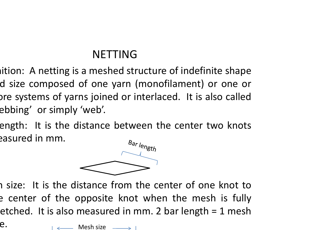### NETTING

 $\mathsf{a}_i$  ition: A netting is a meshed structure of indefinite shape d size composed of one yarn (monofilament) or one or pre systems of yarns joined or interlaced. It is also called ebbing' or simply 'web'.

length: It is the distance between the center two knots easured in mm.



 $\overline{\mathbf{I}}$ n size: It is the distance from the center of one knot to<br>constance the expecite linet when the mosh is fully e center of the opposite knot when the mesh is fully etched. It is also measured in mm. 2 bar length  $= 1$  mesh

 $\rightarrow$  Mesh size  $\rightarrow$  1

e.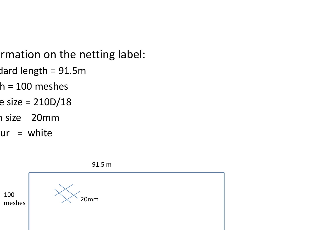- rmation on the netting label:
- $d$ ard length = 91.5m
- $h = 100$  meshes
- $e$  size = 210D/18
- n size 20mm
- $ur = white$

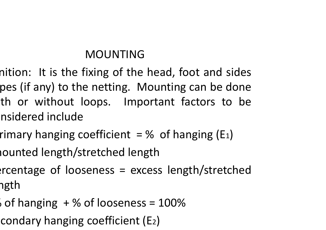### MOUNTING

- nition: It is the fixing of the head, foot and sides pes (if any) to the netting. Mounting can be done th or without loops. Important factors to be nsidered include
	- rimary hanging coefficient  $=$  % of hanging (E<sub>1</sub>)
	- mounted length/stretched length
	- $\text{ercentage of looseness} = \text{excess length/stretched}$ າgth
	- % of hanging  $+$  % of looseness = 100%
	- condary hanging coefficient (E2)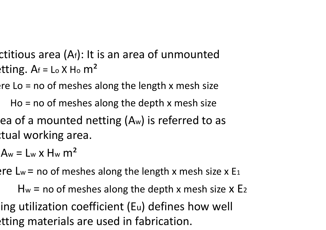- ctitious area ( $A_f$ ): It is an area of unmounted  $\text{P}$ tting. Af = Lo X Ho m<sup>2</sup>:
	- $erce$  Lo = no of meshes along the length x mesh size
		- Ho  $=$  no of meshes along the depth x mesh size
	- ea of a mounted netting  $(A_w)$  is referred to as tual working area.
	- $A_w = L_w \times H_w \text{ m}^2$
	- Pre Lw = no of meshes along the length x mesh size x E<sub>1</sub>
	- $\mathsf{H}_{\mathsf{w}}$  = no of meshes along the depth x mesh size  $\mathsf{x}$  E<sub>2</sub> ing utilization coefficient (Eu) defines how well tting materials are used in fabrication.